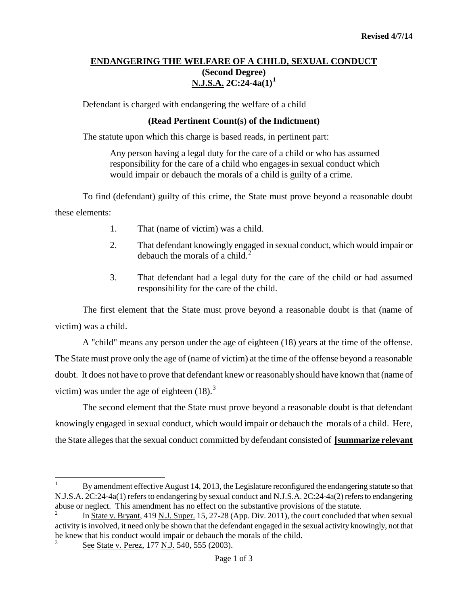## **ENDANGERING THE WELFARE OF A CHILD, SEXUAL CONDUCT (Second Degree) N.J.S.A. 2C:24-4a(1)[1](#page-0-0)**

Defendant is charged with endangering the welfare of a child

## **(Read Pertinent Count(s) of the Indictment)**

The statute upon which this charge is based reads, in pertinent part:

Any person having a legal duty for the care of a child or who has assumed responsibility for the care of a child who engages in sexual conduct which would impair or debauch the morals of a child is guilty of a crime.

To find (defendant) guilty of this crime, the State must prove beyond a reasonable doubt these elements:

- 1. That (name of victim) was a child.
- 2. That defendant knowingly engaged in sexual conduct, which would impair or debauch the morals of a child.<sup>[2](#page-0-1)</sup>
- 3. That defendant had a legal duty for the care of the child or had assumed responsibility for the care of the child.

The first element that the State must prove beyond a reasonable doubt is that (name of victim) was a child.

A "child" means any person under the age of eighteen (18) years at the time of the offense. The State must prove only the age of (name of victim) at the time of the offense beyond a reasonable doubt. It does not have to prove that defendant knew or reasonably should have known that (name of victim) was under the age of eighteen  $(18)$ .<sup>[3](#page-0-2)</sup>

The second element that the State must prove beyond a reasonable doubt is that defendant knowingly engaged in sexual conduct, which would impair or debauch the morals of a child. Here, the State alleges that the sexual conduct committed by defendant consisted of **[summarize relevant** 

t

<span id="page-0-0"></span><sup>1</sup> By amendment effective August 14, 2013, the Legislature reconfigured the endangering statute so that N.J.S.A. 2C:24-4a(1) refers to endangering by sexual conduct and N.J.S.A. 2C:24-4a(2) refers to endangering abuse or neglect. This amendment has no effect on the substantive provisions of the statute.

<span id="page-0-1"></span>In State v. Bryant, 419 N.J. Super. 15, 27-28 (App. Div. 2011), the court concluded that when sexual activity is involved, it need only be shown that the defendant engaged in the sexual activity knowingly, not that he knew that his conduct would impair or debauch the morals of the child.

<span id="page-0-2"></span>See State v. Perez, 177 N.J. 540, 555 (2003).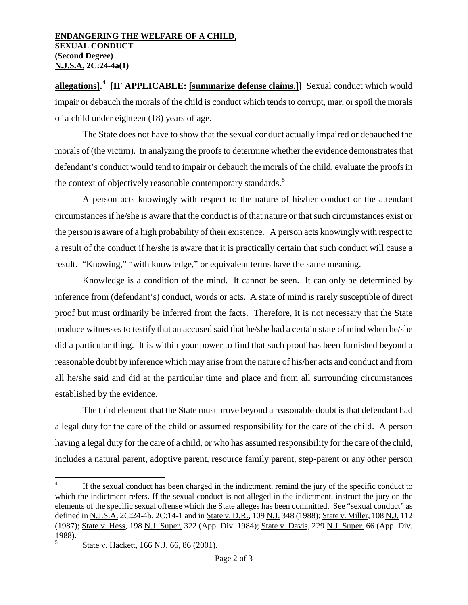## **ENDANGERING THE WELFARE OF A CHILD, SEXUAL CONDUCT (Second Degree) N.J.S.A. 2C:24-4a(1)**

**allegations].<sup>[4](#page-0-0)</sup>** [IF APPLICABLE: [summarize defense claims.]] Sexual conduct which would impair or debauch the morals of the child is conduct which tends to corrupt, mar, or spoil the morals of a child under eighteen (18) years of age.

The State does not have to show that the sexual conduct actually impaired or debauched the morals of (the victim). In analyzing the proofs to determine whether the evidence demonstrates that defendant's conduct would tend to impair or debauch the morals of the child, evaluate the proofs in the context of objectively reasonable contemporary standards.<sup>[5](#page-1-0)</sup>

A person acts knowingly with respect to the nature of his/her conduct or the attendant circumstances if he/she is aware that the conduct is of that nature or that such circumstances exist or the person is aware of a high probability of their existence. A person acts knowingly with respect to a result of the conduct if he/she is aware that it is practically certain that such conduct will cause a result. "Knowing," "with knowledge," or equivalent terms have the same meaning.

Knowledge is a condition of the mind. It cannot be seen. It can only be determined by inference from (defendant's) conduct, words or acts. A state of mind is rarely susceptible of direct proof but must ordinarily be inferred from the facts. Therefore, it is not necessary that the State produce witnesses to testify that an accused said that he/she had a certain state of mind when he/she did a particular thing. It is within your power to find that such proof has been furnished beyond a reasonable doubt by inference which may arise from the nature of his/her acts and conduct and from all he/she said and did at the particular time and place and from all surrounding circumstances established by the evidence.

The third element that the State must prove beyond a reasonable doubt is that defendant had a legal duty for the care of the child or assumed responsibility for the care of the child. A person having a legal duty for the care of a child, or who has assumed responsibility for the care of the child, includes a natural parent, adoptive parent, resource family parent, step-parent or any other person

<span id="page-1-1"></span>t If the sexual conduct has been charged in the indictment, remind the jury of the specific conduct to which the indictment refers. If the sexual conduct is not alleged in the indictment, instruct the jury on the elements of the specific sexual offense which the State alleges has been committed. See "sexual conduct" as defined in N.J.S.A. 2C:24-4b, 2C:14-1 and in State v. D.R., 109 N.J. 348 (1988); State v. Miller, 108 N.J. 112 (1987); State v. Hess, 198 N.J. Super. 322 (App. Div. 1984); State v. Davis, 229 N.J. Super. 66 (App. Div. 1988).

<span id="page-1-0"></span>State v. Hackett, 166 N.J. 66, 86 (2001).